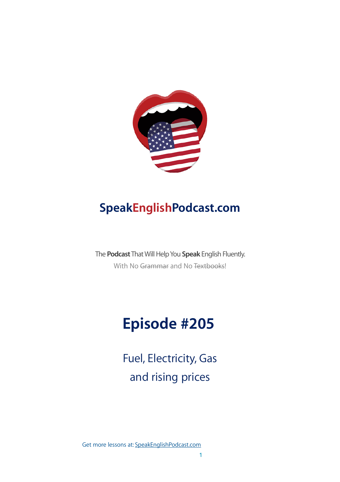

## **SpeakEnglishPodcast.com**

The **Podcast** That Will Help You **Speak** English Fluently. With No Grammar and No Textbooks!

# **Episode #205**

Fuel, Electricity, Gas and rising prices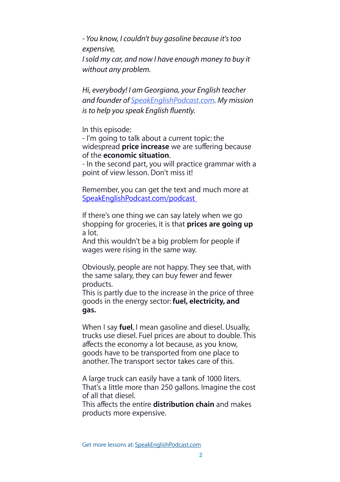*- You know, I couldn't buy gasoline because it's too expensive, I sold my car, and now I have enough money to buy it without any problem.*

*Hi, everybody! I am Georgiana, your English teacher and founder of [SpeakEnglishPodcast.com](http://speakenglishpodcast.com/). My mission is to help you speak English* fl*uently.*

In this episode:

- I'm going to talk about a current topic: the widespread **price increase** we are suffering because of the **economic situation**.

- In the second part, you will practice grammar with a point of view lesson. Don't miss it!

Remember, you can get the text and much more at [SpeakEnglishPodcast.com/podcast](http://SpeakEnglishPodcast.com/podcast)

If there's one thing we can say lately when we go shopping for groceries, it is that **prices are going up** a lot.

And this wouldn't be a big problem for people if wages were rising in the same way.

Obviously, people are not happy. They see that, with the same salary, they can buy fewer and fewer products.

This is partly due to the increase in the price of three goods in the energy sector: **fuel, electricity, and gas.** 

When I say **fuel**, I mean gasoline and diesel. Usually, trucks use diesel. Fuel prices are about to double. This affects the economy a lot because, as you know, goods have to be transported from one place to another. The transport sector takes care of this.

A large truck can easily have a tank of 1000 liters. That's a little more than 250 gallons. Imagine the cost of all that diesel.

This affects the entire **distribution chain** and makes products more expensive.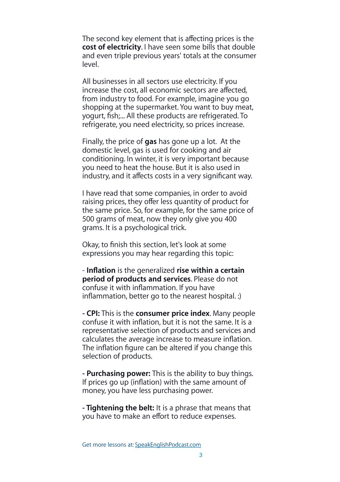The second key element that is affecting prices is the **cost of electricity**. I have seen some bills that double and even triple previous years' totals at the consumer level.

All businesses in all sectors use electricity. If you increase the cost, all economic sectors are affected, from industry to food. For example, imagine you go shopping at the supermarket. You want to buy meat, yogurt, fish;... All these products are refrigerated. To refrigerate, you need electricity, so prices increase.

Finally, the price of **gas** has gone up a lot. At the domestic level, gas is used for cooking and air conditioning. In winter, it is very important because you need to heat the house. But it is also used in industry, and it affects costs in a very significant way.

I have read that some companies, in order to avoid raising prices, they offer less quantity of product for the same price. So, for example, for the same price of 500 grams of meat, now they only give you 400 grams. It is a psychological trick.

Okay, to finish this section, let's look at some expressions you may hear regarding this topic:

- **Inflation** is the generalized **rise within a certain period of products and services**. Please do not confuse it with inflammation. If you have inflammation, better go to the nearest hospital. :)

**- CPI:** This is the **consumer price index**. Many people confuse it with inflation, but it is not the same. It is a representative selection of products and services and calculates the average increase to measure inflation. The inflation figure can be altered if you change this selection of products.

**- Purchasing power:** This is the ability to buy things. If prices go up (inflation) with the same amount of money, you have less purchasing power.

**- Tightening the belt:** It is a phrase that means that you have to make an effort to reduce expenses.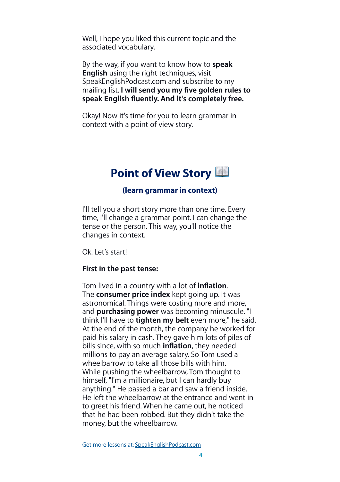Well, I hope you liked this current topic and the associated vocabulary.

By the way, if you want to know how to **speak English** using the right techniques, visit SpeakEnglishPodcast.com and subscribe to my mailing list. **I will send you my five golden rules to speak English fluently. And it's completely free.**

Okay! Now it's time for you to learn grammar in context with a point of view story.

## **Point of View Story**

#### **(learn grammar in context)**

I'll tell you a short story more than one time. Every time, I'll change a grammar point. I can change the tense or the person. This way, you'll notice the changes in context.

Ok. Let's startl

#### **First in the past tense:**

Tom lived in a country with a lot of **inflation**. The **consumer price index** kept going up. It was astronomical. Things were costing more and more, and **purchasing power** was becoming minuscule. "I think I'll have to **tighten my belt** even more," he said. At the end of the month, the company he worked for paid his salary in cash. They gave him lots of piles of bills since, with so much **inflation**, they needed millions to pay an average salary. So Tom used a wheelbarrow to take all those bills with him. While pushing the wheelbarrow, Tom thought to himself, "I'm a millionaire, but I can hardly buy anything." He passed a bar and saw a friend inside. He left the wheelbarrow at the entrance and went in to greet his friend. When he came out, he noticed that he had been robbed. But they didn't take the money, but the wheelbarrow.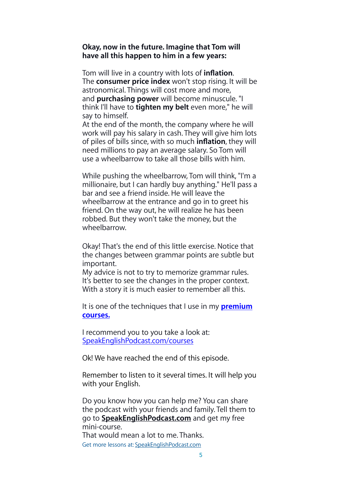#### **Okay, now in the future. Imagine that Tom will have all this happen to him in a few years:**

Tom will live in a country with lots of **inflation**. The **consumer price index** won't stop rising. It will be astronomical. Things will cost more and more, and **purchasing power** will become minuscule. "I think I'll have to **tighten my belt** even more," he will say to himself.

At the end of the month, the company where he will work will pay his salary in cash. They will give him lots of piles of bills since, with so much **inflation**, they will need millions to pay an average salary. So Tom will use a wheelbarrow to take all those bills with him.

While pushing the wheelbarrow, Tom will think, "I'm a millionaire, but I can hardly buy anything." He'll pass a bar and see a friend inside. He will leave the wheelbarrow at the entrance and go in to greet his friend. On the way out, he will realize he has been robbed. But they won't take the money, but the wheelbarrow.

Okay! That's the end of this little exercise. Notice that the changes between grammar points are subtle but important.

My advice is not to try to memorize grammar rules. It's better to see the changes in the proper context. With a story it is much easier to remember all this.

It is one of the techniques that I use in my **[premium](http://SpeakEnglishPodcast.com/courses)  [courses.](http://SpeakEnglishPodcast.com/courses)**

I recommend you to you take a look at: [SpeakEnglishPodcast.com/courses](http://SpeakEnglishPodcast.com/courses)

Ok! We have reached the end of this episode.

Remember to listen to it several times. It will help you with your English.

Do you know how you can help me? You can share the podcast with your friends and family. Tell them to go to **[SpeakEnglishPodcast.com](http://speakenglishpodcast.com/)** and get my free mini-course. That would mean a lot to me. Thanks.

Get more lessons at: [SpeakEnglishPodcast.com](https://www.speakenglishpod.com/)